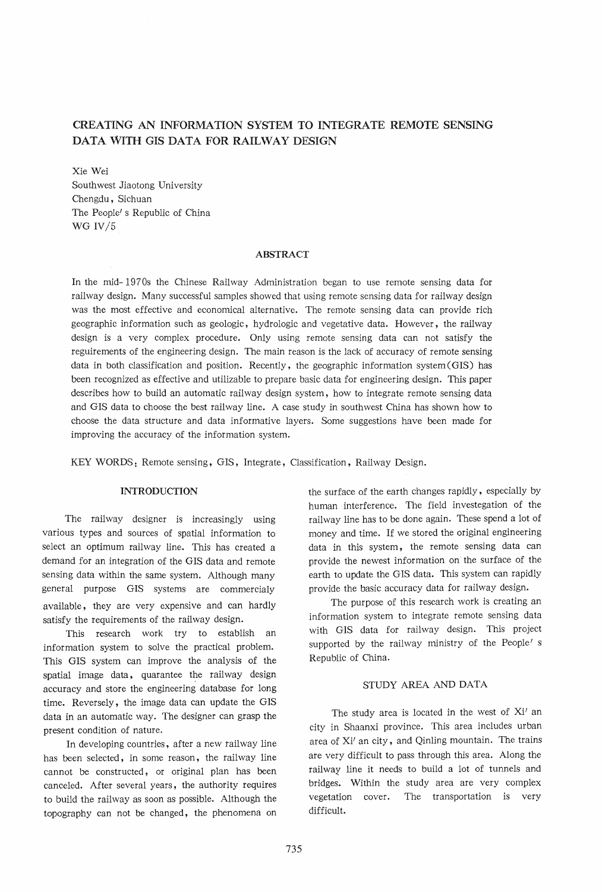# CREATING AN INFORMATION SYSTEM TO INTEGRATE REMOTE SENSING DATA WITH GIS DATA FOR RAILWAY DESIGN

Xie Wei

Southwest Jiaotong University Chengdu, Sichuan The People' s Republic of China WG IV/5

### ABSTRACT

In the mid-1970s the Chinese Railway Administration began to use remote sensing data for railway design. Many successful samples showed that using remote sensing data for railway design was the most effective and economical alternative. The remote sensing data can provide rich geographic information such as geologic, hydrologic and vegetative data. However, the railway design *is* a very complex procedure. Only using remote sensing data can not satisfy the reguirements of the engineering design. The main reason is the lack of accuracy of remote sensing data in both classification and position. Recently, the geographic information system (GIS) has been recognized as effective and utilizable to prepare basic data for engineering design. This paper describes how to build an automatic railway design system, how to integrate remote sensing data and GIS data to choose the best railway line. A case study in southwest China has shown how to choose the data structure and data informative layers. Some suggestions have been made for improving the accuracy of the information system.

KEY WORDS: Remote sensing, GIS, Integrate, Classification, Railway Design.

# **INTRODUCTION**

The railway designer is increasingly using various types and sources of spatial information to select an optimum railway line. This has created a demand for an integration of the GIS data and remote sensing data within the same system. Although many general purpose GIS systems are commercialy available, they are very expensive and can hardly satisfy the requirements of the railway design.

*This* research work try to establish an information system to solve the practical problem. *This* GIS system can improve the analysis of the spatial image data, quarantee the railway design accuracy and store the engineering database for long time. Reversely, the image data can update the GIS data in an automatic way. The designer can grasp the present condition of nature.

In developing countries, after a new railway line has been selected, in some reason, the railway line cannot be constructed, or original plan has been canceled. Mter several years, the authority requires to build the railway as soon as possible. Although the topography can not be changed, the phenomena on

the surface of the earth changes rapidly, especially by human· interference. The field investegation of the railway line has to be done again. These spend a lot of money and time. If we stored the original engineering data in this system, the remote sensing data can provide the newest information on· the surface of the earth to update the GIS data. This system can rapidly provide the basic accuracy data for railway design.

The purpose of this research work is creating an information system to integrate remote sensing data with GIS data for railway design. This project supported by the railway ministry of the People's Republic of China.

## STUDY AREA AND DATA

The study area *is* located in the west of Xi' an *city* in Shaanxi province. This area includes urban area of Xi' an city, and Qinling mountain. The trains are very difficult to pass through this area. Along the railway line it needs to build a lot of tunnels and bridges. Within the study area are very complex vegetation cover. The transportation is very difficult.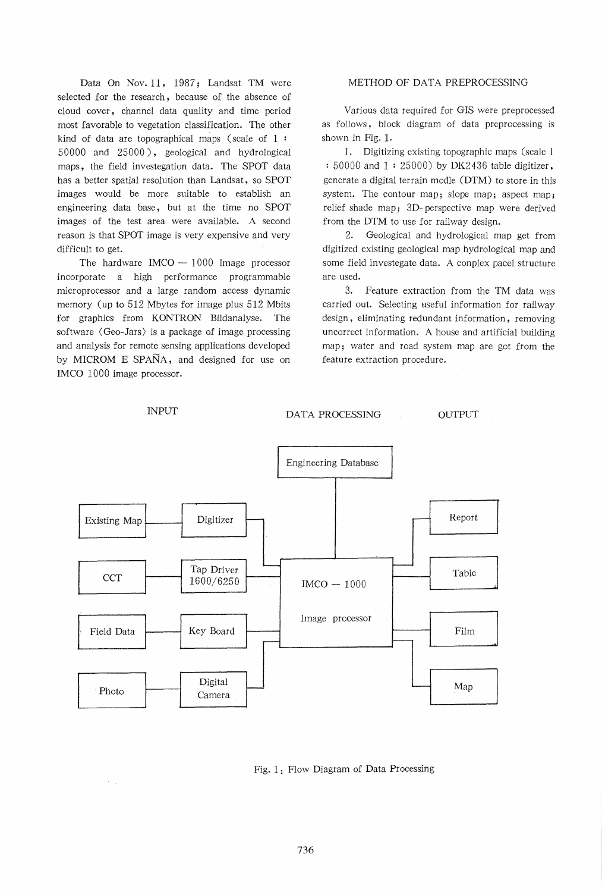Data On Nov. 11, 1987; Landsat TM were selected for the research, because of the absence of cloud cover, channel data quality and time period most favorable to vegetation classification. The other kind of data are topographical maps (scale of  $1:$ 50000 and 25000), geological and hydrological maps, the field investegation data. The SPOT data has a better spatial resolution than Landsat, so SPOT images would be more suitable to establish an engineering data base, but at the time no SPOT images of the test area were available. A second reason is that SPOT image *is* very expensive and very difficult to get.

The hardware  $IMCO - 1000$  Image processor incorporate a high performance programmable microprocessor and a large random access dynamic memory (up to 512 Mbytes for image plus 512 Mbits for graphics from KONTRON Bildanalyse. The software < Geo-Jars) is a package of image processing and analysis for remote sensing applications developed by MICROM E SPAÑA, and designed for use on IMCO 1000 image processor.

 $\gamma_{\rm{eff}}$ 

### METHOD OF DATA PREPROCESSING

Various data required for GIS were preprocessed as follows, block diagram of data preprocessing is shown in Fig. 1.

1. Digitizing existing topographic maps (scale 1 : 50000 and 1 : 25000) by DK2436 table digitizer, generate a digital terrain modle (DTM) to store in this system. The contour map; slope map; aspect map; relief shade map; 3D- perspective map were derived from the DTM to use for railway design.

2. Geological and hydrological map get from digitized existing geological map hydrological map and some field investegate data. A conplex pacel structure are used.

3. Feature extraction from the TM data was carried out. Selecting useful information for railway design, eliminating redundant information, removing uncorrect information. A house and artificial building map; water and road system map are got from the feature extraction procedure.



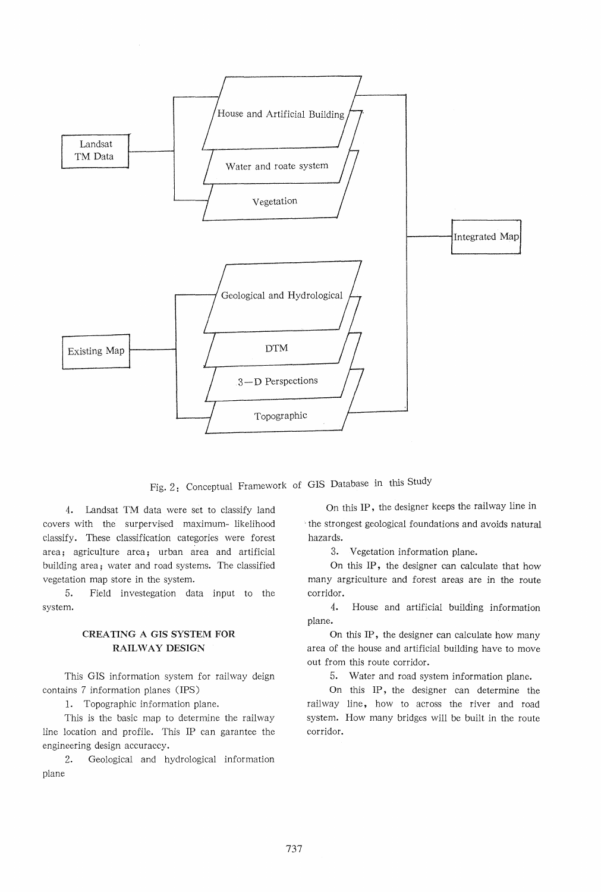

Fig. 2: Conceptual Framework of GIS Database in this Study

4. Landsat TM data were set to classify land covers with the surpervised maximum- likelihood classify. These classification categories were forest area; agriculture area; urban area and artificial building area; water and road systems. The classified vegetation map store in the system.

5. Field investegation data input to the system.

# CREATING A GIS SYSTEM FOR RAILWAY DESIGN

This GIS information system for railway deign contains 7 information planes (IPS)

1. Topographic information plane.

This is the basic map to determine the railway line location and profile. This IP can garantee the engineering design accuraccy.

2. Geological and hydrological information plane

On this IP, the designer keeps the railway line in -the strongest geological foundations and avoids natural hazards.

3. Vegetation information plane.

On this IP, the designer can calculate that how many argriculture and forest areas are in the route corridor.

4. House and artificial building information plane.

On this IP, the designer can calculate how many area of the house and artificial building have to move out from this route corridor.

5. Water and road system information plane.

On this IP, the designer can determine the rail way line, how to across the river and road system. How many bridges will be built in the route corridor.